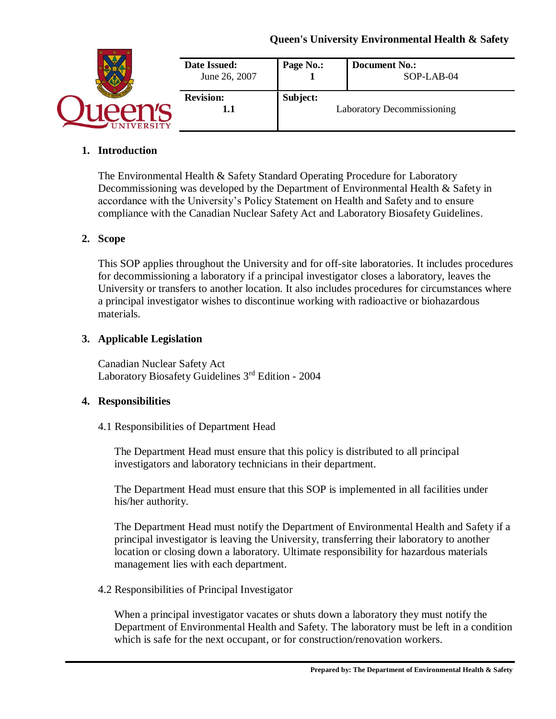|                 | Date Issued:<br>June 26, 2007 | Page No.: | <b>Document No.:</b><br>SOP-LAB-04 |
|-----------------|-------------------------------|-----------|------------------------------------|
| <b>IVERSITY</b> | <b>Revision:</b><br>IJ        | Subject:  | <b>Laboratory Decommissioning</b>  |

## **1. Introduction**

The Environmental Health & Safety Standard Operating Procedure for Laboratory Decommissioning was developed by the Department of Environmental Health & Safety in accordance with the University's Policy Statement on Health and Safety and to ensure compliance with the Canadian Nuclear Safety Act and Laboratory Biosafety Guidelines.

### **2. Scope**

This SOP applies throughout the University and for off-site laboratories. It includes procedures for decommissioning a laboratory if a principal investigator closes a laboratory, leaves the University or transfers to another location. It also includes procedures for circumstances where a principal investigator wishes to discontinue working with radioactive or biohazardous materials.

### **3. Applicable Legislation**

Canadian Nuclear Safety Act Laboratory Biosafety Guidelines 3rd Edition - 2004

### **4. Responsibilities**

### 4.1 Responsibilities of Department Head

The Department Head must ensure that this policy is distributed to all principal investigators and laboratory technicians in their department.

The Department Head must ensure that this SOP is implemented in all facilities under his/her authority.

The Department Head must notify the Department of Environmental Health and Safety if a principal investigator is leaving the University, transferring their laboratory to another location or closing down a laboratory. Ultimate responsibility for hazardous materials management lies with each department.

### 4.2 Responsibilities of Principal Investigator

When a principal investigator vacates or shuts down a laboratory they must notify the Department of Environmental Health and Safety. The laboratory must be left in a condition which is safe for the next occupant, or for construction/renovation workers.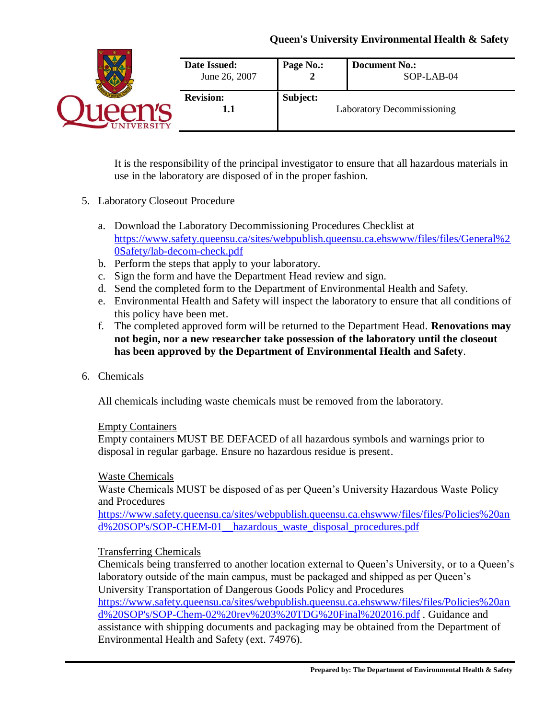|            | Date Issued:<br>June 26, 2007 | Page No.: | <b>Document No.:</b><br>SOP-LAB-04 |
|------------|-------------------------------|-----------|------------------------------------|
| UNIVERSITY | <b>Revision:</b><br>1.1       | Subject:  | Laboratory Decommissioning         |

It is the responsibility of the principal investigator to ensure that all hazardous materials in use in the laboratory are disposed of in the proper fashion.

## 5. Laboratory Closeout Procedure

- a. Download the Laboratory Decommissioning Procedures Checklist at [https://www.safety.queensu.ca/sites/webpublish.queensu.ca.ehswww/files/files/General%2](https://www.safety.queensu.ca/sites/webpublish.queensu.ca.ehswww/files/files/General%20Safety/lab-decom-check.pdf) [0Safety/lab-decom-check.pdf](https://www.safety.queensu.ca/sites/webpublish.queensu.ca.ehswww/files/files/General%20Safety/lab-decom-check.pdf)
- b. Perform the steps that apply to your laboratory.
- c. Sign the form and have the Department Head review and sign.
- d. Send the completed form to the Department of Environmental Health and Safety.
- e. Environmental Health and Safety will inspect the laboratory to ensure that all conditions of this policy have been met.
- f. The completed approved form will be returned to the Department Head. **Renovations may not begin, nor a new researcher take possession of the laboratory until the closeout has been approved by the Department of Environmental Health and Safety**.
- 6. Chemicals

All chemicals including waste chemicals must be removed from the laboratory.

### Empty Containers

Empty containers MUST BE DEFACED of all hazardous symbols and warnings prior to disposal in regular garbage. Ensure no hazardous residue is present.

### Waste Chemicals

Waste Chemicals MUST be disposed of as per Queen's University Hazardous Waste Policy and Procedures

[https://www.safety.queensu.ca/sites/webpublish.queensu.ca.ehswww/files/files/Policies%20an](https://www.safety.queensu.ca/sites/webpublish.queensu.ca.ehswww/files/files/Policies%20and%20SOP) [d%20SOP's/SOP-CHEM-01\\_\\_hazardous\\_waste\\_disposal\\_procedures.pdf](https://www.safety.queensu.ca/sites/webpublish.queensu.ca.ehswww/files/files/Policies%20and%20SOP)

## Transferring Chemicals

Chemicals being transferred to another location external to Queen's University, or to a Queen's laboratory outside of the main campus, must be packaged and shipped as per Queen's University Transportation of Dangerous Goods Policy and Procedures [https://www.safety.queensu.ca/sites/webpublish.queensu.ca.ehswww/files/files/Policies%20an](https://www.safety.queensu.ca/sites/webpublish.queensu.ca.ehswww/files/files/Policies%20and%20SOP) [d%20SOP's/SOP-Chem-02%20rev%203%20TDG%20Final%202016.pdf](https://www.safety.queensu.ca/sites/webpublish.queensu.ca.ehswww/files/files/Policies%20and%20SOP) . Guidance and assistance with shipping documents and packaging may be obtained from the Department of Environmental Health and Safety (ext. 74976).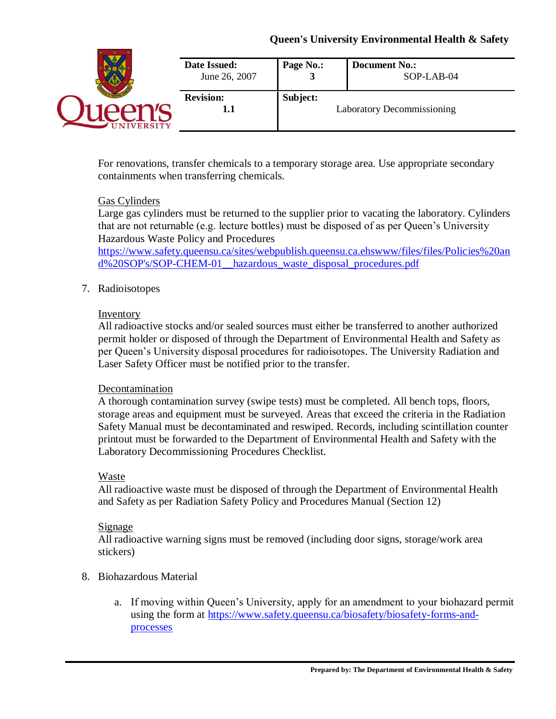| <b>INIVERSITY</b> | Date Issued:<br>June 26, 2007 | Page No.: | <b>Document No.:</b><br>SOP-LAB-04 |
|-------------------|-------------------------------|-----------|------------------------------------|
|                   | <b>Revision:</b><br>1.1       | Subject:  | <b>Laboratory Decommissioning</b>  |

For renovations, transfer chemicals to a temporary storage area. Use appropriate secondary containments when transferring chemicals.

### Gas Cylinders

Large gas cylinders must be returned to the supplier prior to vacating the laboratory. Cylinders that are not returnable (e.g. lecture bottles) must be disposed of as per Queen's University Hazardous Waste Policy and Procedures

[https://www.safety.queensu.ca/sites/webpublish.queensu.ca.ehswww/files/files/Policies%20an](https://www.safety.queensu.ca/sites/webpublish.queensu.ca.ehswww/files/files/Policies%20and%20SOP) [d%20SOP's/SOP-CHEM-01\\_\\_hazardous\\_waste\\_disposal\\_procedures.pdf](https://www.safety.queensu.ca/sites/webpublish.queensu.ca.ehswww/files/files/Policies%20and%20SOP)

### 7. Radioisotopes

### Inventory

All radioactive stocks and/or sealed sources must either be transferred to another authorized permit holder or disposed of through the Department of Environmental Health and Safety as per Queen's University disposal procedures for radioisotopes. The University Radiation and Laser Safety Officer must be notified prior to the transfer.

### Decontamination

A thorough contamination survey (swipe tests) must be completed. All bench tops, floors, storage areas and equipment must be surveyed. Areas that exceed the criteria in the Radiation Safety Manual must be decontaminated and reswiped. Records, including scintillation counter printout must be forwarded to the Department of Environmental Health and Safety with the Laboratory Decommissioning Procedures Checklist.

### Waste

All radioactive waste must be disposed of through the Department of Environmental Health and Safety as per Radiation Safety Policy and Procedures Manual (Section 12)

### Signage

All radioactive warning signs must be removed (including door signs, storage/work area stickers)

### 8. Biohazardous Material

a. If moving within Queen's University, apply for an amendment to your biohazard permit using the form at [https://www.safety.queensu.ca/biosafety/biosafety-forms-and](https://www.safety.queensu.ca/biosafety/biosafety-forms-and-processes)[processes](https://www.safety.queensu.ca/biosafety/biosafety-forms-and-processes)